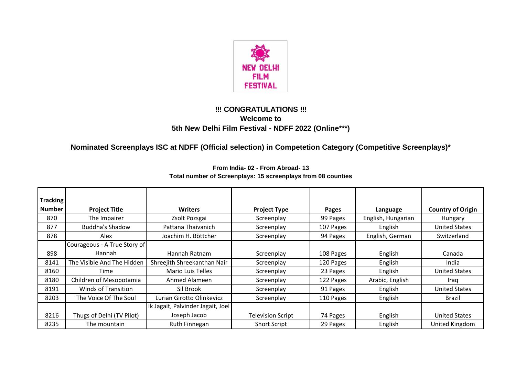

## **!!! CONGRATULATIONS !!! Welcome to 5th New Delhi Film Festival - NDFF 2022 (Online\*\*\*)**

**Nominated Screenplays ISC at NDFF (Official selection) in Competetion Category (Competitive Screenplays)\*** 

| <b>Tracking</b> |                              |                                   |                          |           |                    |                          |
|-----------------|------------------------------|-----------------------------------|--------------------------|-----------|--------------------|--------------------------|
| <b>Number</b>   |                              | <b>Writers</b>                    |                          |           |                    |                          |
|                 | <b>Project Title</b>         |                                   | <b>Project Type</b>      | Pages     | Language           | <b>Country of Origin</b> |
| 870             | The Impairer                 | Zsolt Pozsgai                     | Screenplay               | 99 Pages  | English, Hungarian | Hungary                  |
| 877             | <b>Buddha's Shadow</b>       | Pattana Thaivanich                | Screenplay               | 107 Pages | English            | <b>United States</b>     |
| 878             | Alex                         | Joachim H. Böttcher               | Screenplay               | 94 Pages  | English, German    | Switzerland              |
|                 | Courageous - A True Story of |                                   |                          |           |                    |                          |
| 898             | <b>Hannah</b>                | Hannah Ratnam                     | Screenplay               | 108 Pages | English            | Canada                   |
| 8141            | The Visible And The Hidden   | Shreejith Shreekanthan Nair       | Screenplay               | 120 Pages | English            | India                    |
| 8160            | Time                         | <b>Mario Luis Telles</b>          | Screenplay               | 23 Pages  | English            | <b>United States</b>     |
| 8180            | Children of Mesopotamia      | Ahmed Alameen                     | Screenplay               | 122 Pages | Arabic, English    | Iraq                     |
| 8191            | <b>Winds of Transition</b>   | Sil Brook                         | Screenplay               | 91 Pages  | English            | <b>United States</b>     |
| 8203            | The Voice Of The Soul        | Lurian Girotto Olinkevicz         | Screenplay               | 110 Pages | English            | Brazil                   |
|                 |                              | Ik Jagait, Palvinder Jagait, Joel |                          |           |                    |                          |
| 8216            | Thugs of Delhi (TV Pilot)    | Joseph Jacob                      | <b>Television Script</b> | 74 Pages  | English            | <b>United States</b>     |
| 8235            | The mountain                 | Ruth Finnegan                     | <b>Short Script</b>      | 29 Pages  | English            | United Kingdom           |

**From India- 02 - From Abroad- 13 Total number of Screenplays: 15 screenplays from 08 counties**